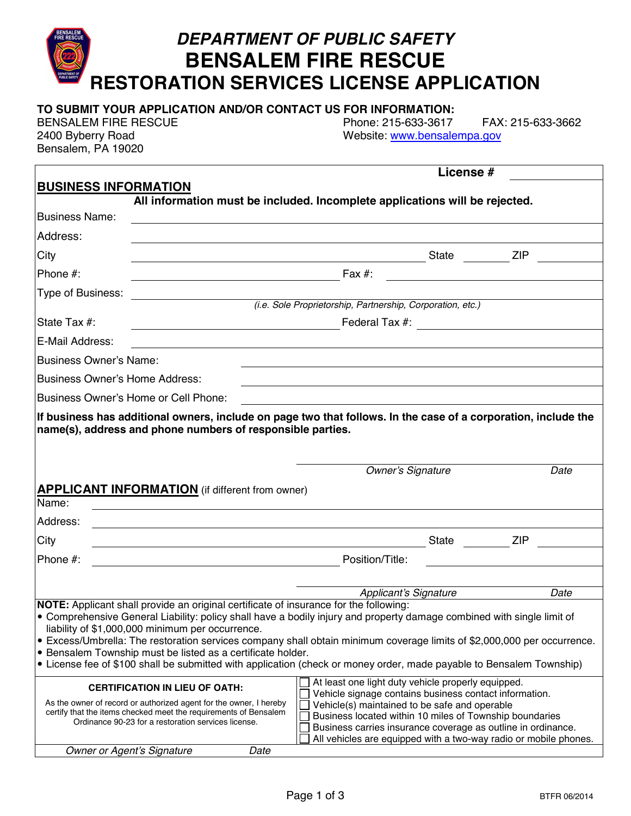### **BENSALEM FIRE RESCUE RESTORATION SERVICES LICENSE APPLICATION TO SUBMIT YOUR APPLICATION AND/OR CONTACT US FOR INFORMATION:**  BENSALEM FIRE RESCUE Phone: 215-633-3617 FAX: 215-633-3662 2400 Byberry Road Website: www.bensalempa.gov Bensalem, PA 19020 **License # BUSINESS INFORMATION All information must be included. Incomplete applications will be rejected.**  Business Name: Address: City State ZIP Phone #: Fax #: Type of Business: *(i.e. Sole Proprietorship, Partnership, Corporation, etc.)*  State Tax #: State Tax +: State Tax +: State Tax +: Federal Tax +: State Tax +: State Tax +: State Tax +: State Tax +: State Tax +: State Tax +: State Tax +: State Tax +: State Tax +: State Tax +: State Tax +: State Tax +: E-Mail Address: Business Owner's Name: Business Owner's Home Address: Business Owner's Home or Cell Phone: **If business has additional owners, include on page two that follows. In the case of a corporation, include the name(s), address and phone numbers of responsible parties.**  *Owner's Signature Date*  **APPLICANT INFORMATION** (if different from owner) Name: Address: City State ZIP Phone #: **Phone #:** Position/Title: *Applicant's Signature Date*  **NOTE:** Applicant shall provide an original certificate of insurance for the following: ! Comprehensive General Liability: policy shall have a bodily injury and property damage combined with single limit of liability of \$1,000,000 minimum per occurrence. ! Excess/Umbrella: The restoration services company shall obtain minimum coverage limits of \$2,000,000 per occurrence. **• Bensalem Township must be listed as a certificate holder.** ! License fee of \$100 shall be submitted with application (check or money order, made payable to Bensalem Township) **CERTIFICATION IN LIEU OF OATH:**  As the owner of record or authorized agent for the owner, I hereby certify that the items checked meet the requirements of Bensalem Ordinance 90-23 for a restoration services license. At least one light duty vehicle properly equipped. Vehicle signage contains business contact information.  $\Box$  Vehicle(s) maintained to be safe and operable  $\Box$  Business located within 10 miles of Township boundaries Business carries insurance coverage as outline in ordinance.  $\Box$  All vehicles are equipped with a two-way radio or mobile phones. *Owner or Agent's Signature Date*

*DEPARTMENT OF PUBLIC SAFETY*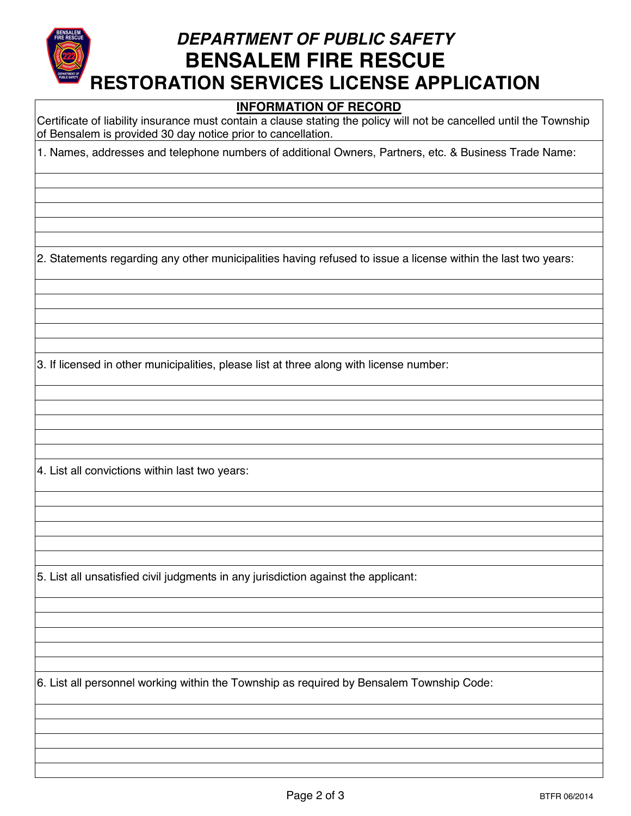# *DEPARTMENT OF PUBLIC SAFETY*  **BENSALEM FIRE RESCUE RESTORATION SERVICES LICENSE APPLICATION**

#### **INFORMATION OF RECORD**

Certificate of liability insurance must contain a clause stating the policy will not be cancelled until the Township of Bensalem is provided 30 day notice prior to cancellation.

1. Names, addresses and telephone numbers of additional Owners, Partners, etc. & Business Trade Name:

2. Statements regarding any other municipalities having refused to issue a license within the last two years:

3. If licensed in other municipalities, please list at three along with license number:

4. List all convictions within last two years:

5. List all unsatisfied civil judgments in any jurisdiction against the applicant:

6. List all personnel working within the Township as required by Bensalem Township Code: